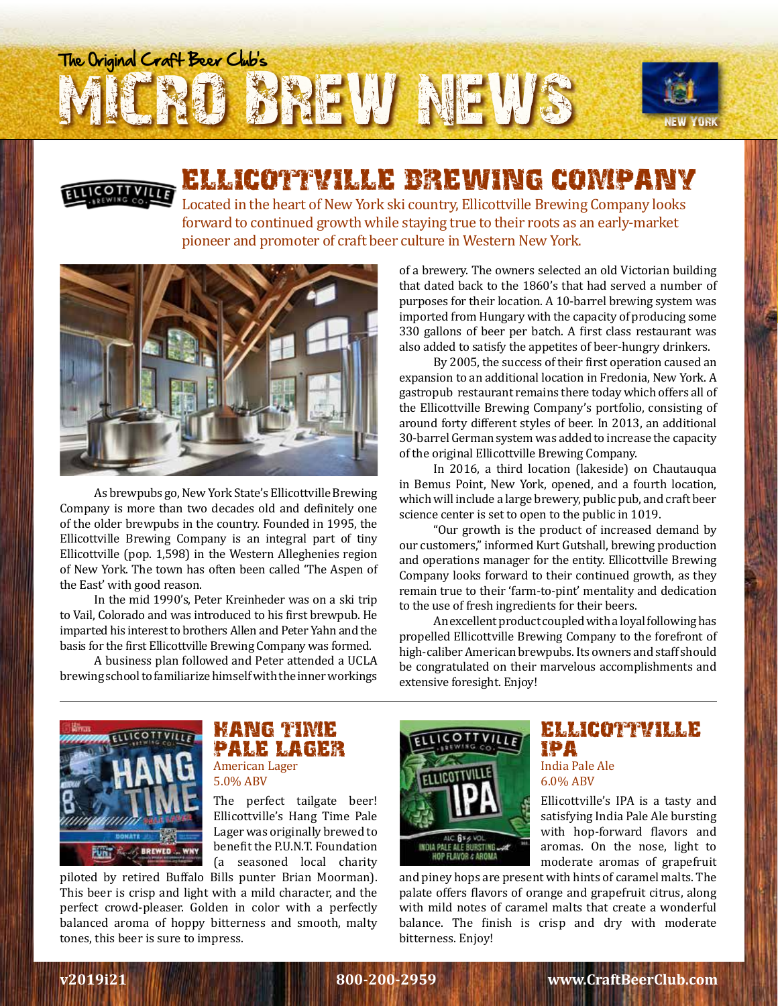# BREW NEWS The Original Craft Beer Club's



## ELLICOTTVILLE BREWING COMPANY

 Located in the heart of New York ski country, Ellicottville Brewing Company looks forward to continued growth while staying true to their roots as an early-market pioneer and promoter of craft beer culture in Western New York.



As brewpubs go, New York State's Ellicottville Brewing Company is more than two decades old and definitely one of the older brewpubs in the country. Founded in 1995, the Ellicottville Brewing Company is an integral part of tiny Ellicottville (pop. 1,598) in the Western Alleghenies region of New York. The town has often been called 'The Aspen of the East' with good reason.

In the mid 1990's, Peter Kreinheder was on a ski trip to Vail, Colorado and was introduced to his first brewpub. He imparted his interest to brothers Allen and Peter Yahn and the basis for the first Ellicottville Brewing Company was formed.

A business plan followed and Peter attended a UCLA brewing school to familiarize himself with the inner workings of a brewery. The owners selected an old Victorian building that dated back to the 1860's that had served a number of purposes for their location. A 10-barrel brewing system was imported from Hungary with the capacity of producing some 330 gallons of beer per batch. A first class restaurant was also added to satisfy the appetites of beer-hungry drinkers.

NEW YORK

By 2005, the success of their first operation caused an expansion to an additional location in Fredonia, New York. A gastropub restaurant remains there today which offers all of the Ellicottville Brewing Company's portfolio, consisting of around forty different styles of beer. In 2013, an additional 30-barrel German system was added to increase the capacity of the original Ellicottville Brewing Company.

In 2016, a third location (lakeside) on Chautauqua in Bemus Point, New York, opened, and a fourth location, which will include a large brewery, public pub, and craft beer science center is set to open to the public in 1019.

"Our growth is the product of increased demand by our customers," informed Kurt Gutshall, brewing production and operations manager for the entity. Ellicottville Brewing Company looks forward to their continued growth, as they remain true to their 'farm-to-pint' mentality and dedication to the use of fresh ingredients for their beers.

An excellent product coupled with a loyal following has propelled Ellicottville Brewing Company to the forefront of high-caliber American brewpubs. Its owners and staff should be congratulated on their marvelous accomplishments and extensive foresight. Enjoy!



#### HANG TIME PALE LAGER American Lager

5.0% ABV

The perfect tailgate beer! Ellicottville's Hang Time Pale Lager was originally brewed to benefit the P.U.N.T. Foundation (a seasoned local charity

piloted by retired Buffalo Bills punter Brian Moorman). This beer is crisp and light with a mild character, and the perfect crowd-pleaser. Golden in color with a perfectly balanced aroma of hoppy bitterness and smooth, malty tones, this beer is sure to impress.



#### ELLICOTTVILLE IPA India Pale Ale 6.0% ABV

Ellicottville's IPA is a tasty and satisfying India Pale Ale bursting with hop-forward flavors and aromas. On the nose, light to moderate aromas of grapefruit

and piney hops are present with hints of caramel malts. The palate offers flavors of orange and grapefruit citrus, along with mild notes of caramel malts that create a wonderful balance. The finish is crisp and dry with moderate bitterness. Enjoy!